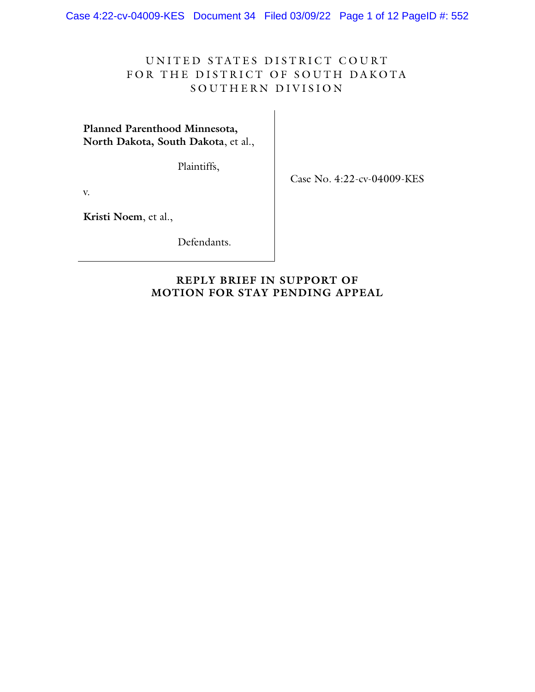Case 4:22-cv-04009-KES Document 34 Filed 03/09/22 Page 1 of 12 PageID #: 552

# UNITED STATES DISTRICT COURT FOR THE DISTRICT OF SOUTH DAKOTA SOUTHERN DIVISION

**Planned Parenthood Minnesota, North Dakota, South Dakota**, et al.,

Plaintiffs,

Case No. 4:22-cv-04009-KES

v.

**Kristi Noem**, et al.,

Defendants.

## **REPLY BRIEF IN SUPPORT OF MOTION FOR STAY PENDING APPEAL**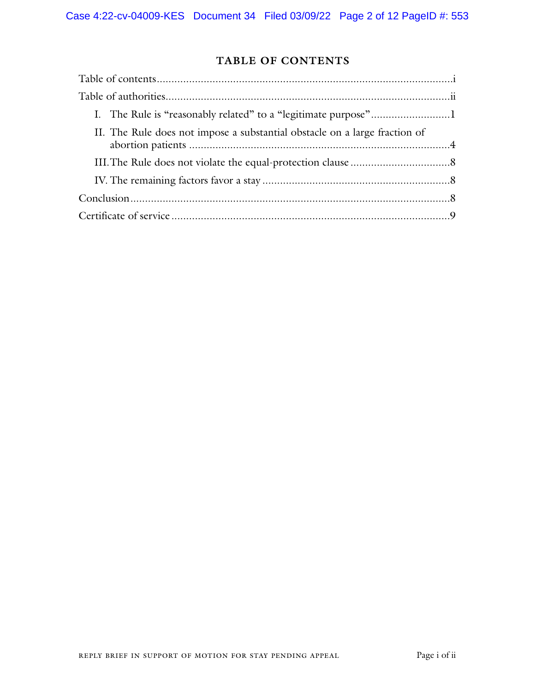# **TABLE OF CONTENTS**

| II. The Rule does not impose a substantial obstacle on a large fraction of |  |
|----------------------------------------------------------------------------|--|
|                                                                            |  |
|                                                                            |  |
|                                                                            |  |
|                                                                            |  |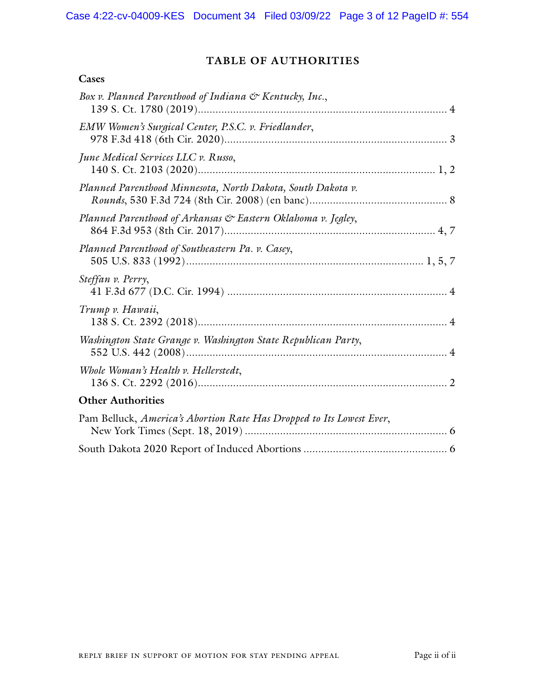**Cases**

# **TABLE OF AUTHORITIES**

| Box v. Planned Parenthood of Indiana & Kentucky, Inc.,               |  |
|----------------------------------------------------------------------|--|
| EMW Women's Surgical Center, P.S.C. v. Friedlander,                  |  |
| June Medical Services LLC v. Russo,                                  |  |
| Planned Parenthood Minnesota, North Dakota, South Dakota v.          |  |
| Planned Parenthood of Arkansas & Eastern Oklahoma v. Jegley,         |  |
| Planned Parenthood of Southeastern Pa. v. Casey,                     |  |
| Steffan v. Perry,                                                    |  |
| Trump v. Hawaii,                                                     |  |
| Washington State Grange v. Washington State Republican Party,        |  |
| Whole Woman's Health v. Hellerstedt,                                 |  |
| <b>Other Authorities</b>                                             |  |
| Pam Belluck, America's Abortion Rate Has Dropped to Its Lowest Ever, |  |
|                                                                      |  |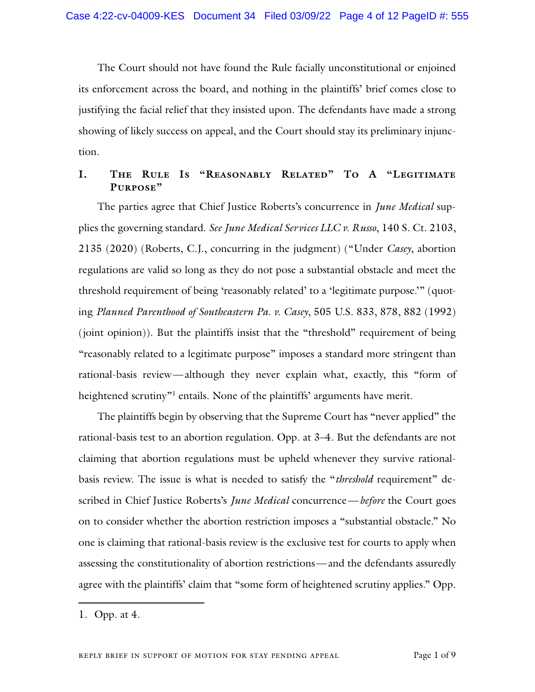The Court should not have found the Rule facially unconstitutional or enjoined its enforcement across the board, and nothing in the plaintiffs' brief comes close to justifying the facial relief that they insisted upon. The defendants have made a strong showing of likely success on appeal, and the Court should stay its preliminary injunction.

## **I. The Rule Is "Reasonably Related" To A "Legitimate Purpose"**

The parties agree that Chief Justice Roberts's concurrence in *June Medical* supplies the governing standard. *See June Medical Services LLC v. Russo*, 140 S. Ct. 2103, 2135 (2020) (Roberts, C.J., concurring in the judgment) ("Under *Casey*, abortion regulations are valid so long as they do not pose a substantial obstacle and meet the threshold requirement of being 'reasonably related' to a 'legitimate purpose.'" (quoting *Planned Parenthood of Southeastern Pa. v. Casey*, 505 U.S. 833, 878, 882 (1992) (joint opinion)). But the plaintiffs insist that the "threshold" requirement of being "reasonably related to a legitimate purpose" imposes a standard more stringent than rational-basis review—although they never explain what, exactly, this "form of heightened scrutiny"<sup>1</sup> entails. None of the plaintiffs' arguments have merit.

The plaintiffs begin by observing that the Supreme Court has "never applied" the rational-basis test to an abortion regulation. Opp. at 3–4. But the defendants are not claiming that abortion regulations must be upheld whenever they survive rationalbasis review. The issue is what is needed to satisfy the "*threshold* requirement" described in Chief Justice Roberts's *June Medical* concurrence—*before* the Court goes on to consider whether the abortion restriction imposes a "substantial obstacle." No one is claiming that rational-basis review is the exclusive test for courts to apply when assessing the constitutionality of abortion restrictions—and the defendants assuredly agree with the plaintiffs' claim that "some form of heightened scrutiny applies." Opp.

<sup>1.</sup> Opp. at 4.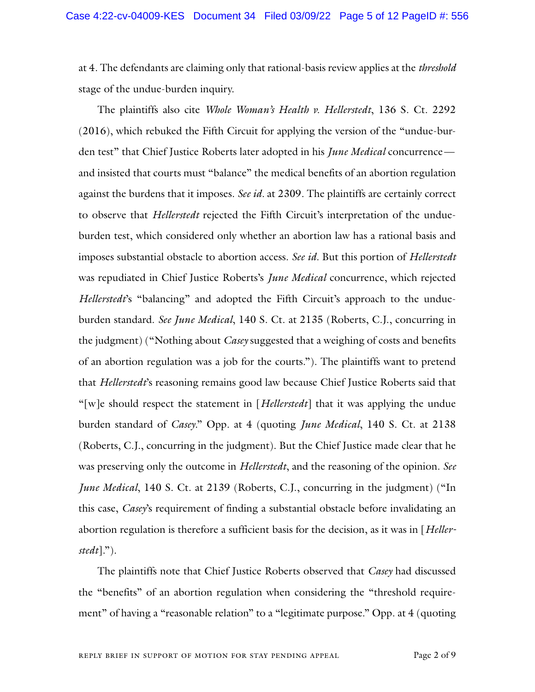at 4. The defendants are claiming only that rational-basis review applies at the *threshold* stage of the undue-burden inquiry.

The plaintiffs also cite *Whole Woman's Health v. Hellerstedt*, 136 S. Ct. 2292 (2016), which rebuked the Fifth Circuit for applying the version of the "undue-burden test" that Chief Justice Roberts later adopted in his *June Medical* concurrence and insisted that courts must "balance" the medical benefits of an abortion regulation against the burdens that it imposes. *See id.* at 2309. The plaintiffs are certainly correct to observe that *Hellerstedt* rejected the Fifth Circuit's interpretation of the undueburden test, which considered only whether an abortion law has a rational basis and imposes substantial obstacle to abortion access. *See id.* But this portion of *Hellerstedt* was repudiated in Chief Justice Roberts's *June Medical* concurrence, which rejected *Hellerstedt*'s "balancing" and adopted the Fifth Circuit's approach to the undueburden standard. *See June Medical*, 140 S. Ct. at 2135 (Roberts, C.J., concurring in the judgment) ("Nothing about *Casey* suggested that a weighing of costs and benefits of an abortion regulation was a job for the courts."). The plaintiffs want to pretend that *Hellerstedt*'s reasoning remains good law because Chief Justice Roberts said that "[w]e should respect the statement in [*Hellerstedt*] that it was applying the undue burden standard of *Casey*." Opp. at 4 (quoting *June Medical*, 140 S. Ct. at 2138 (Roberts, C.J., concurring in the judgment). But the Chief Justice made clear that he was preserving only the outcome in *Hellerstedt*, and the reasoning of the opinion. *See June Medical*, 140 S. Ct. at 2139 (Roberts, C.J., concurring in the judgment) ("In this case, *Casey*'s requirement of finding a substantial obstacle before invalidating an abortion regulation is therefore a sufficient basis for the decision, as it was in [*Hellerstedt*].").

The plaintiffs note that Chief Justice Roberts observed that *Casey* had discussed the "benefits" of an abortion regulation when considering the "threshold requirement" of having a "reasonable relation" to a "legitimate purpose." Opp. at 4 (quoting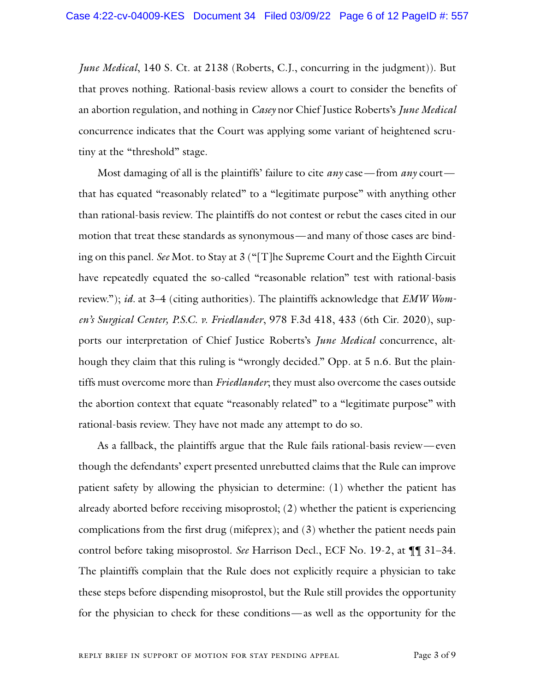*June Medical*, 140 S. Ct. at 2138 (Roberts, C.J., concurring in the judgment)). But that proves nothing. Rational-basis review allows a court to consider the benefits of an abortion regulation, and nothing in *Casey* nor Chief Justice Roberts's *June Medical* concurrence indicates that the Court was applying some variant of heightened scrutiny at the "threshold" stage.

Most damaging of all is the plaintiffs' failure to cite *any* case—from *any* court that has equated "reasonably related" to a "legitimate purpose" with anything other than rational-basis review. The plaintiffs do not contest or rebut the cases cited in our motion that treat these standards as synonymous—and many of those cases are binding on this panel. *See* Mot. to Stay at 3 ("[T]he Supreme Court and the Eighth Circuit have repeatedly equated the so-called "reasonable relation" test with rational-basis review."); *id.* at 3–4 (citing authorities). The plaintiffs acknowledge that *EMW Women's Surgical Center, P.S.C. v. Friedlander*, 978 F.3d 418, 433 (6th Cir. 2020), supports our interpretation of Chief Justice Roberts's *June Medical* concurrence, although they claim that this ruling is "wrongly decided." Opp. at 5 n.6. But the plaintiffs must overcome more than *Friedlander*; they must also overcome the cases outside the abortion context that equate "reasonably related" to a "legitimate purpose" with rational-basis review. They have not made any attempt to do so.

As a fallback, the plaintiffs argue that the Rule fails rational-basis review—even though the defendants' expert presented unrebutted claims that the Rule can improve patient safety by allowing the physician to determine: (1) whether the patient has already aborted before receiving misoprostol; (2) whether the patient is experiencing complications from the first drug (mifeprex); and (3) whether the patient needs pain control before taking misoprostol. *See* Harrison Decl., ECF No. 19-2, at ¶¶ 31–34. The plaintiffs complain that the Rule does not explicitly require a physician to take these steps before dispending misoprostol, but the Rule still provides the opportunity for the physician to check for these conditions—as well as the opportunity for the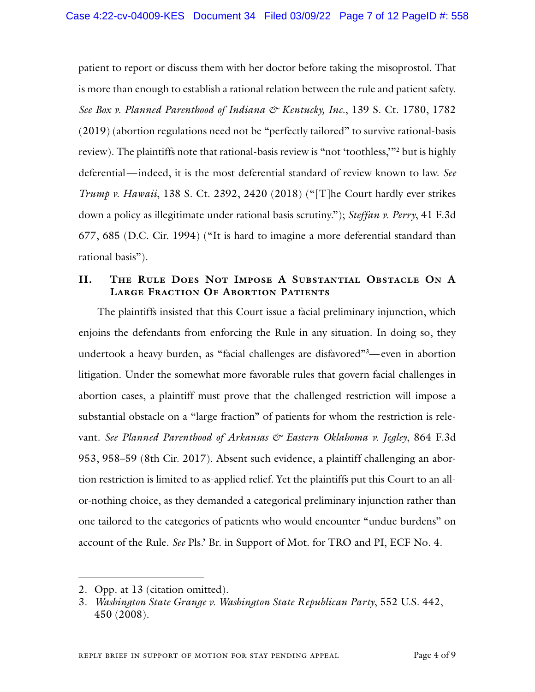patient to report or discuss them with her doctor before taking the misoprostol. That is more than enough to establish a rational relation between the rule and patient safety. *See Box v. Planned Parenthood of Indiana & Kentucky, Inc.*, 139 S. Ct. 1780, 1782 (2019) (abortion regulations need not be "perfectly tailored" to survive rational-basis review). The plaintiffs note that rational-basis review is "not 'toothless,'"2 but is highly deferential—indeed, it is the most deferential standard of review known to law. *See Trump v. Hawaii*, 138 S. Ct. 2392, 2420 (2018) ("[T]he Court hardly ever strikes down a policy as illegitimate under rational basis scrutiny."); *Steffan v. Perry*, 41 F.3d 677, 685 (D.C. Cir. 1994) ("It is hard to imagine a more deferential standard than rational basis").

## **II. The Rule Does Not Impose A Substantial Obstacle On A Large Fraction Of Abortion Patients**

The plaintiffs insisted that this Court issue a facial preliminary injunction, which enjoins the defendants from enforcing the Rule in any situation. In doing so, they undertook a heavy burden, as "facial challenges are disfavored"3 —even in abortion litigation. Under the somewhat more favorable rules that govern facial challenges in abortion cases, a plaintiff must prove that the challenged restriction will impose a substantial obstacle on a "large fraction" of patients for whom the restriction is relevant. *See Planned Parenthood of Arkansas & Eastern Oklahoma v. Jegley*, 864 F.3d 953, 958–59 (8th Cir. 2017). Absent such evidence, a plaintiff challenging an abortion restriction is limited to as-applied relief. Yet the plaintiffs put this Court to an allor-nothing choice, as they demanded a categorical preliminary injunction rather than one tailored to the categories of patients who would encounter "undue burdens" on account of the Rule. *See* Pls.' Br. in Support of Mot. for TRO and PI, ECF No. 4.

<sup>2.</sup> Opp. at 13 (citation omitted).

<sup>3.</sup> *Washington State Grange v. Washington State Republican Party*, 552 U.S. 442, 450 (2008).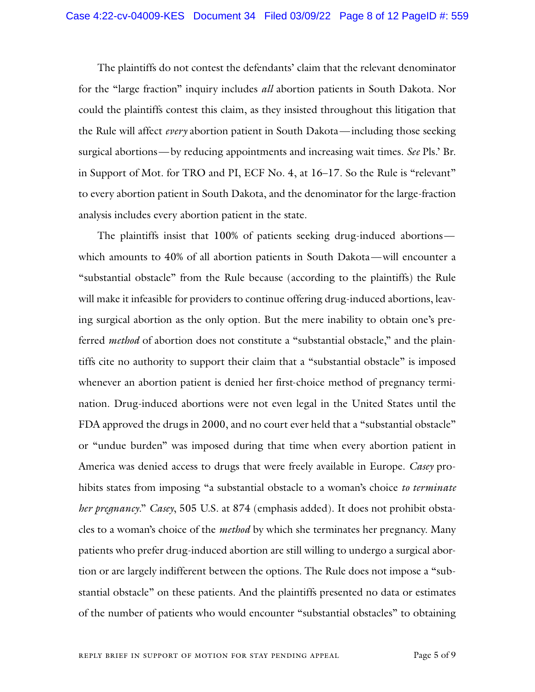The plaintiffs do not contest the defendants' claim that the relevant denominator for the "large fraction" inquiry includes *all* abortion patients in South Dakota. Nor could the plaintiffs contest this claim, as they insisted throughout this litigation that the Rule will affect *every* abortion patient in South Dakota—including those seeking surgical abortions—by reducing appointments and increasing wait times. *See* Pls.' Br. in Support of Mot. for TRO and PI, ECF No. 4, at 16–17. So the Rule is "relevant" to every abortion patient in South Dakota, and the denominator for the large-fraction analysis includes every abortion patient in the state.

The plaintiffs insist that 100% of patients seeking drug-induced abortions which amounts to 40% of all abortion patients in South Dakota—will encounter a "substantial obstacle" from the Rule because (according to the plaintiffs) the Rule will make it infeasible for providers to continue offering drug-induced abortions, leaving surgical abortion as the only option. But the mere inability to obtain one's preferred *method* of abortion does not constitute a "substantial obstacle," and the plaintiffs cite no authority to support their claim that a "substantial obstacle" is imposed whenever an abortion patient is denied her first-choice method of pregnancy termination. Drug-induced abortions were not even legal in the United States until the FDA approved the drugs in 2000, and no court ever held that a "substantial obstacle" or "undue burden" was imposed during that time when every abortion patient in America was denied access to drugs that were freely available in Europe. *Casey* prohibits states from imposing "a substantial obstacle to a woman's choice *to terminate her pregnancy*." *Casey*, 505 U.S. at 874 (emphasis added). It does not prohibit obstacles to a woman's choice of the *method* by which she terminates her pregnancy. Many patients who prefer drug-induced abortion are still willing to undergo a surgical abortion or are largely indifferent between the options. The Rule does not impose a "substantial obstacle" on these patients. And the plaintiffs presented no data or estimates of the number of patients who would encounter "substantial obstacles" to obtaining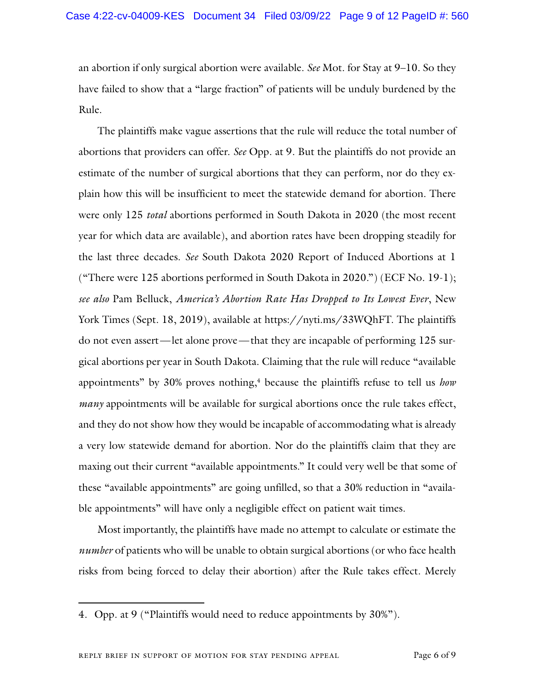an abortion if only surgical abortion were available. *See* Mot. for Stay at 9–10. So they have failed to show that a "large fraction" of patients will be unduly burdened by the Rule.

The plaintiffs make vague assertions that the rule will reduce the total number of abortions that providers can offer. *See* Opp. at 9. But the plaintiffs do not provide an estimate of the number of surgical abortions that they can perform, nor do they explain how this will be insufficient to meet the statewide demand for abortion. There were only 125 *total* abortions performed in South Dakota in 2020 (the most recent year for which data are available), and abortion rates have been dropping steadily for the last three decades. *See* South Dakota 2020 Report of Induced Abortions at 1 ("There were 125 abortions performed in South Dakota in 2020.") (ECF No. 19-1); *see also* Pam Belluck, *America's Abortion Rate Has Dropped to Its Lowest Ever*, New York Times (Sept. 18, 2019), available at https://nyti.ms/33WQhFT. The plaintiffs do not even assert—let alone prove—that they are incapable of performing 125 surgical abortions per year in South Dakota. Claiming that the rule will reduce "available appointments" by 30% proves nothing,<sup>4</sup> because the plaintiffs refuse to tell us *how many* appointments will be available for surgical abortions once the rule takes effect, and they do not show how they would be incapable of accommodating what is already a very low statewide demand for abortion. Nor do the plaintiffs claim that they are maxing out their current "available appointments." It could very well be that some of these "available appointments" are going unfilled, so that a 30% reduction in "available appointments" will have only a negligible effect on patient wait times.

Most importantly, the plaintiffs have made no attempt to calculate or estimate the *number* of patients who will be unable to obtain surgical abortions (or who face health risks from being forced to delay their abortion) after the Rule takes effect. Merely

<sup>4.</sup> Opp. at 9 ("Plaintiffs would need to reduce appointments by 30%").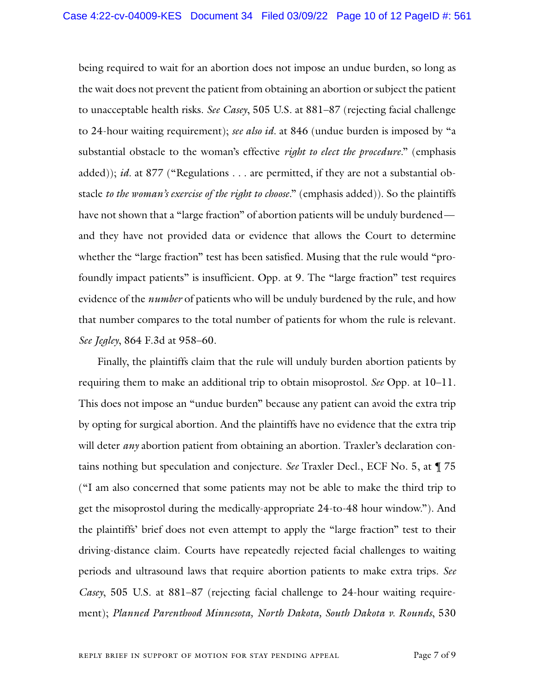being required to wait for an abortion does not impose an undue burden, so long as the wait does not prevent the patient from obtaining an abortion or subject the patient to unacceptable health risks. *See Casey*, 505 U.S. at 881–87 (rejecting facial challenge to 24-hour waiting requirement); *see also id.* at 846 (undue burden is imposed by "a substantial obstacle to the woman's effective *right to elect the procedure*." (emphasis added)); *id.* at 877 ("Regulations . . . are permitted, if they are not a substantial obstacle *to the woman's exercise of the right to choose*." (emphasis added)). So the plaintiffs have not shown that a "large fraction" of abortion patients will be unduly burdened and they have not provided data or evidence that allows the Court to determine whether the "large fraction" test has been satisfied. Musing that the rule would "profoundly impact patients" is insufficient. Opp. at 9. The "large fraction" test requires evidence of the *number* of patients who will be unduly burdened by the rule, and how that number compares to the total number of patients for whom the rule is relevant. *See Jegley*, 864 F.3d at 958–60.

Finally, the plaintiffs claim that the rule will unduly burden abortion patients by requiring them to make an additional trip to obtain misoprostol. *See* Opp. at 10–11. This does not impose an "undue burden" because any patient can avoid the extra trip by opting for surgical abortion. And the plaintiffs have no evidence that the extra trip will deter *any* abortion patient from obtaining an abortion. Traxler's declaration contains nothing but speculation and conjecture. *See* Traxler Decl., ECF No. 5, at ¶ 75 ("I am also concerned that some patients may not be able to make the third trip to get the misoprostol during the medically-appropriate 24-to-48 hour window."). And the plaintiffs' brief does not even attempt to apply the "large fraction" test to their driving-distance claim. Courts have repeatedly rejected facial challenges to waiting periods and ultrasound laws that require abortion patients to make extra trips. *See Casey*, 505 U.S. at 881–87 (rejecting facial challenge to 24-hour waiting requirement); *Planned Parenthood Minnesota, North Dakota, South Dakota v. Rounds*, 530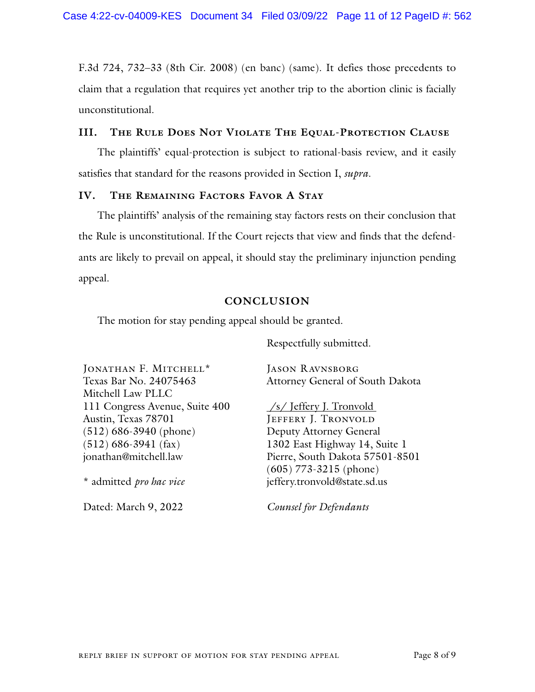F.3d 724, 732–33 (8th Cir. 2008) (en banc) (same). It defies those precedents to claim that a regulation that requires yet another trip to the abortion clinic is facially unconstitutional.

### **III. The Rule Does Not Violate The Equal-Protection Clause**

The plaintiffs' equal-protection is subject to rational-basis review, and it easily satisfies that standard for the reasons provided in Section I, *supra*.

#### **IV. The Remaining Factors Favor A Stay**

The plaintiffs' analysis of the remaining stay factors rests on their conclusion that the Rule is unconstitutional. If the Court rejects that view and finds that the defendants are likely to prevail on appeal, it should stay the preliminary injunction pending appeal.

#### **CONCLUSION**

The motion for stay pending appeal should be granted.

Respectfully submitted.

| JONATHAN F. MITCHELL*          | <b>JASON RAVNSBORG</b>                          |
|--------------------------------|-------------------------------------------------|
| Texas Bar No. 24075463         | Attorney General of South Dakota                |
| Mitchell Law PLLC              |                                                 |
| 111 Congress Avenue, Suite 400 | $\frac{\sqrt{s}}{\sqrt{s}}$ Jeffery J. Tronvold |
| Austin, Texas 78701            | JEFFERY J. TRONVOLD                             |
| $(512) 686 - 3940$ (phone)     | Deputy Attorney General                         |
| $(512)$ 686-3941 (fax)         | 1302 East Highway 14, Suite 1                   |
| jonathan@mitchell.law          | Pierre, South Dakota 57501-8501                 |
|                                | $(605)$ 773-3215 (phone)                        |
| * admitted pro hac vice        | jeffery.tronvold@state.sd.us                    |

Dated: March 9, 2022

*Counsel for Defendants*